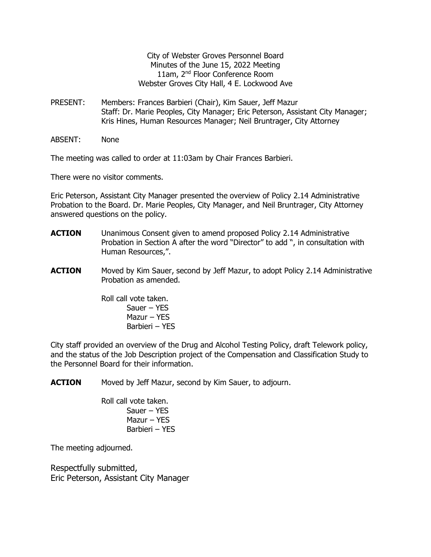City of Webster Groves Personnel Board Minutes of the June 15, 2022 Meeting 11am, 2<sup>nd</sup> Floor Conference Room Webster Groves City Hall, 4 E. Lockwood Ave

- PRESENT: Members: Frances Barbieri (Chair), Kim Sauer, Jeff Mazur Staff: Dr. Marie Peoples, City Manager; Eric Peterson, Assistant City Manager; Kris Hines, Human Resources Manager; Neil Bruntrager, City Attorney
- ABSENT: None

The meeting was called to order at 11:03am by Chair Frances Barbieri.

There were no visitor comments.

Eric Peterson, Assistant City Manager presented the overview of Policy 2.14 Administrative Probation to the Board. Dr. Marie Peoples, City Manager, and Neil Bruntrager, City Attorney answered questions on the policy.

- **ACTION** Unanimous Consent given to amend proposed Policy 2.14 Administrative Probation in Section A after the word "Director" to add ", in consultation with Human Resources,".
- **ACTION** Moved by Kim Sauer, second by Jeff Mazur, to adopt Policy 2.14 Administrative Probation as amended.

Roll call vote taken. Sauer – YES Mazur – YES Barbieri – YES

City staff provided an overview of the Drug and Alcohol Testing Policy, draft Telework policy, and the status of the Job Description project of the Compensation and Classification Study to the Personnel Board for their information.

**ACTION** Moved by Jeff Mazur, second by Kim Sauer, to adjourn.

Roll call vote taken. Sauer – YES Mazur – YES Barbieri – YES

The meeting adjourned.

Respectfully submitted, Eric Peterson, Assistant City Manager